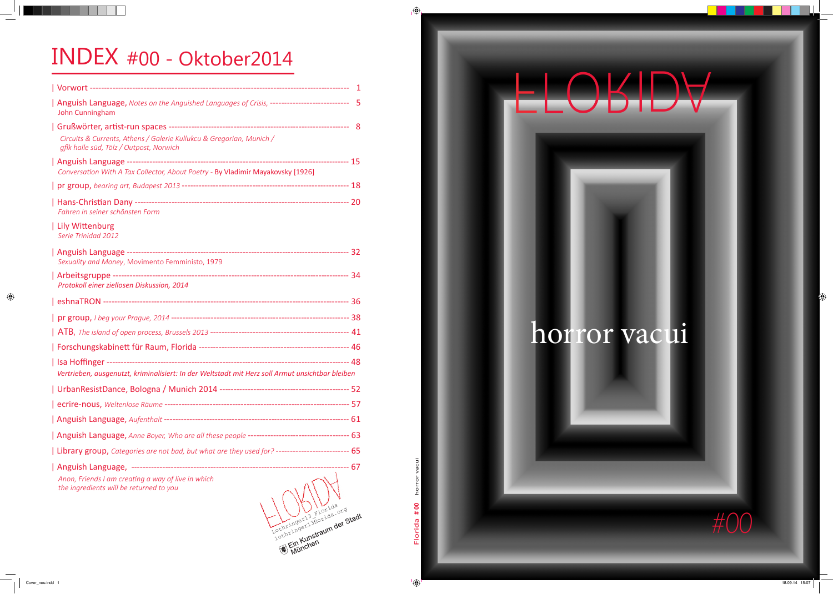F

## horror vacui





 $\bigoplus$ 

## INDEX #00 - Oktober2014

Florida **# 00** horror vacui

 $\bigoplus$ 

 $\bigoplus$ 

| Anguish Language, Notes on the Anguished Languages of Crisis, --------------------------- 5<br>John Cunningham  |  |
|-----------------------------------------------------------------------------------------------------------------|--|
|                                                                                                                 |  |
| Circuits & Currents, Athens / Galerie Kullukcu & Gregorian, Munich /<br>gflk halle süd, Tölz / Outpost, Norwich |  |
| Conversation With A Tax Collector, About Poetry - By Vladimir Mayakovsky [1926]                                 |  |
|                                                                                                                 |  |
| Fahren in seiner schönsten Form                                                                                 |  |
| Lily Wittenburg<br>Serie Trinidad 2012                                                                          |  |
| Sexuality and Money, Movimento Femministo, 1979                                                                 |  |
| Protokoll einer ziellosen Diskussion, 2014                                                                      |  |
|                                                                                                                 |  |
|                                                                                                                 |  |
|                                                                                                                 |  |
|                                                                                                                 |  |
|                                                                                                                 |  |
| Vertrieben, ausgenutzt, kriminalisiert: In der Weltstadt mit Herz soll Armut unsichtbar bleiben                 |  |
|                                                                                                                 |  |
|                                                                                                                 |  |
|                                                                                                                 |  |
|                                                                                                                 |  |
| Library group, Categories are not bad, but what are they used for? ------------------------- 65                 |  |
| Anon, Friends I am creating a way of live in which                                                              |  |

*the ingredients will be returned to you Anon, Friends I am creating a way of live in which*

Lothringer13florida.org